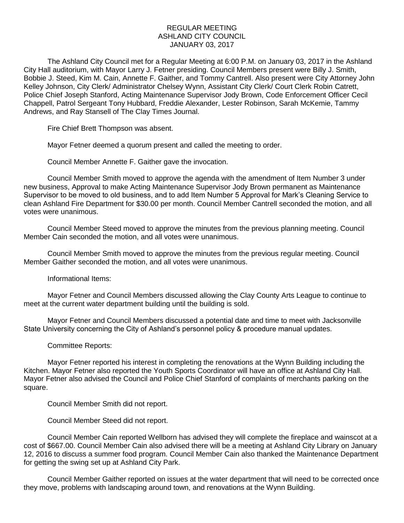## REGULAR MEETING ASHLAND CITY COUNCIL JANUARY 03, 2017

The Ashland City Council met for a Regular Meeting at 6:00 P.M. on January 03, 2017 in the Ashland City Hall auditorium, with Mayor Larry J. Fetner presiding. Council Members present were Billy J. Smith, Bobbie J. Steed, Kim M. Cain, Annette F. Gaither, and Tommy Cantrell. Also present were City Attorney John Kelley Johnson, City Clerk/ Administrator Chelsey Wynn, Assistant City Clerk/ Court Clerk Robin Catrett, Police Chief Joseph Stanford, Acting Maintenance Supervisor Jody Brown, Code Enforcement Officer Cecil Chappell, Patrol Sergeant Tony Hubbard, Freddie Alexander, Lester Robinson, Sarah McKemie, Tammy Andrews, and Ray Stansell of The Clay Times Journal.

Fire Chief Brett Thompson was absent.

Mayor Fetner deemed a quorum present and called the meeting to order.

Council Member Annette F. Gaither gave the invocation.

Council Member Smith moved to approve the agenda with the amendment of Item Number 3 under new business, Approval to make Acting Maintenance Supervisor Jody Brown permanent as Maintenance Supervisor to be moved to old business, and to add Item Number 5 Approval for Mark's Cleaning Service to clean Ashland Fire Department for \$30.00 per month. Council Member Cantrell seconded the motion, and all votes were unanimous.

Council Member Steed moved to approve the minutes from the previous planning meeting. Council Member Cain seconded the motion, and all votes were unanimous.

Council Member Smith moved to approve the minutes from the previous regular meeting. Council Member Gaither seconded the motion, and all votes were unanimous.

Informational Items:

Mayor Fetner and Council Members discussed allowing the Clay County Arts League to continue to meet at the current water department building until the building is sold.

Mayor Fetner and Council Members discussed a potential date and time to meet with Jacksonville State University concerning the City of Ashland's personnel policy & procedure manual updates.

## Committee Reports:

Mayor Fetner reported his interest in completing the renovations at the Wynn Building including the Kitchen. Mayor Fetner also reported the Youth Sports Coordinator will have an office at Ashland City Hall. Mayor Fetner also advised the Council and Police Chief Stanford of complaints of merchants parking on the square.

Council Member Smith did not report.

Council Member Steed did not report.

Council Member Cain reported Wellborn has advised they will complete the fireplace and wainscot at a cost of \$667.00. Council Member Cain also advised there will be a meeting at Ashland City Library on January 12, 2016 to discuss a summer food program. Council Member Cain also thanked the Maintenance Department for getting the swing set up at Ashland City Park.

Council Member Gaither reported on issues at the water department that will need to be corrected once they move, problems with landscaping around town, and renovations at the Wynn Building.